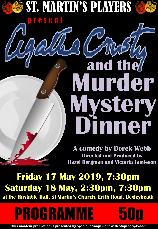

p r e s e n t

# **Murder Dinner Mystery and the**

**A comedy by Derek Webb Directed and Produced by Hazel Bergman and Victoria Jamieson**

**Friday 17 May 2019, 7:30pm Saturday 18 May, 2:30pm, 7:30pm**

**at the Huxtable Hall, St Martin's Church, Erith Road, Bexleyheath**

PROGRAMME 50p



This amateur production is presented by special arrangement with stagescripts.com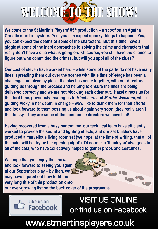

**Welcome to the St Martin's Players' 85th production – a spoof on an Agatha Christie murder mystery. Yes, you can expect spooky things to happen. Yes, you can expect the deaths of some of the characters. But this time, have a giggle at some of the inept approaches to solving the crime and characters that really don't have a clue what is going on. Of course, you still have the chance to figure out who committed the crimes, but will you spot all of the clues?**

**Our cast of eleven have worked hard – while some of the parts do not have many lines, spreading them out over the scenes with little time off-stage has been a challenge, but piece by piece, the play has come together, with our directors guiding us through the process and helping to ensure the lines are being delivered correctly and we are not blocking each other out. Hazel directs us for the third time, previously treating us to** *Bluebeard* **and** *Murder Weekend***, while guiding Vicky in her debut in charge – we'd like to thank them for their efforts, and look forward to them bossing us about again very soon (they really aren't that bossy – they are some of the most polite directors we have had!)**

**Having recovered from a busy pantomime, our technical team have efficiently worked to provide the sound and lighting effects, and our set builders have produced a marvellous living room set (we hope, at the time of writing, that all of the paint will be dry by the opening night!) Of course, a 'thank you' also goes to all of the cast, who have collectively helped to gather props and costumes.**

**We hope that you enjoy the show, and look forward to seeing you again at our September play – by then, we may have figured out how to fit the very long title of this production onto our ever-growing list on the back cover of the programme..**

Like us on

**Facebook** 

VISIT US ONLINE or find us on Facebook

www.stmartinsplayers.co.uk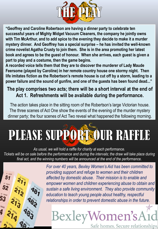

**"Geoffrey and Caroline Robertson are having a dinner party to celebrate ten successful years of Mighty Midget Vacuum Cleaners, the company he jointly owns with Tim McArthur, and to add spice to the evening they decide to make it a murder mystery dinner. And Geoffrey has a special surprise – he has invited the well-known crime novelist Agatha Crusty to join them. She is in the area promoting her latest book and agrees to be the guest of honour. When she arrives, each guest is given a part to play and a costume, then the game begins.**

**A recorded voice tells them that they are to discover the murderer of Lady Maude Feersome (played by Caroline) in her remote country house one stormy night. Then life imitates fiction as the Robertson's remote house is cut off by a storm, leading to a power failure and the sound of gunfire, and one of the guests has been found dead..."**

#### **The play comprises two acts; there will be a short interval at the end of Act 1. Refreshments will be available during the performance.**

The action takes place in the sitting room of the Robertson's large Victorian house. The three scenes of Act One show the events of the evening of the murder mystery dinner party; the four scenes of Act Two reveal what happened the following morning.

## PLEASE SUPPORTOUR RAFFLE

*As usual, we will hold a raffle for charity at each performance. Tickets will be on sale before the performance and during the intervals; the draw will take place during final act, and the winning numbers will be announced at the end of the performance.*



*For over 40 years, Bexley Women's Aid has been committed to providing support and refuge to women and their children affected by domestic abuse. Their mission is to enable and empower women and children experiencing abuse to obtain and sustain a safe living environment. They also provide community education to teach young people about healthy, respectful relationships in order to prevent domestic abuse in the future.*

### BexleyWomen's A Safe homes. Secure relationships.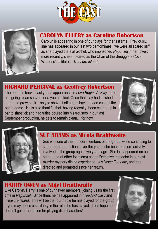



#### **CAROLYN ELLERY as Caroline Robertson**

Carolyn is appearing in one of our plays for the first time. Previously, she has appeared in our last two pantomimes: we were all scared stiff as she played the evil Gothel, who imprisoned *Rapunzel* in her tower; more recently, she appeared as the Chair of the Smugglers Cove Womens' Institute in *Treasure Island*.

#### **RICHARD PERCIVAL as Geoffrey Robertson**

The beard is back! Last year's appearance in *Love Begins At Fifty* led to him going clean shaven for a youthful look Once that play had finished, it started to grow back – only to shave it off again, having been cast as the panto dame. He is also thankful that, having recently been caught up in panto slapstick and had trifles poured into his trousers in our last September production, he gets to remain clean… for now.





#### **SUE ADAMS as Nicola Braithwaite**

Sue was one of the founder members of the group; while continuing to support our productions over the years, she became more actively involved in the group again two years ago. She last appeared on our stage (and at other locations) as the Detective Inspector in our last murder mystery dining experience, *It's Never Too Late*, and has directed and prompted since her return.

#### **HARRY OWEN as Nigel Braithwaite**

Like Carolyn, Harry is one of our newer members, joining us for the first time in *Rapunzel*. Since then, he has appeared in *Free And Easy* and *Treasure Island*. This will be the fourth role he has played for the group – you may notice a similarity in the roles he has played. Let's hope he doesn't get a reputation for playing dim characters!

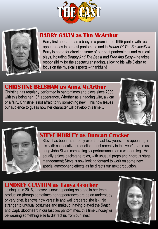



#### **BARRY GAVIN as Tim McArthur**

Barry first appeared as a baby in a pram in the 1995 panto, with recent appearances in our last pantomime and in *Hound Of The Baskervilles*. Barry is noted for directing some of our best pantomimes and musical plays, including *Beauty And The Beast* and *Free And Easy* – he takes responsibility for the spectacular staging, allowing his wife Debra to focus on the musical aspects – thankfully!

#### **CHRISTINE BELSHAM as Anna McArthur**

Christine has regularly performed in pantomimes and plays since 2009, with this being her 18<sup>th</sup> appearance, Whether as a nagging wife, a vicar or a fairy, Christine is not afraid to try something new. This now leaves our audience to guess how her character will develop this time…





#### **STEVE MORLEY as Duncan Crocker**

Steve has been rather busy over the last few years, now appearing in his sixth consecutive production, most recently in this year's panto as Long John Silver, completing six performances on a wooden leg. He equally enjoys backstage roles, with unusual props and rigorous stage management; Steve is now looking forward to work on some new special atmospheric effects as he directs our next production.

#### **LINDSEY CLAYTON as Tanya Crocker**

Joining us in 2016, Lindsey is now appearing on stage in her tenth production (though sometimes her appearances are as an understudy or very brief, it shows how versatile and well prepared she is). No stranger to unusual costumes and makeup, having played the *Beast* and Capt. Bloodheart in our last two pantomimes, this time Lindsey will be wearing something else to distract us from our lines!

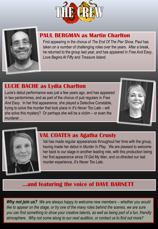



#### **PAUL BERGMAN as Martin Charlton**

First appearing in the chorus of *The End Of The Pier Show*, Paul has taken on a number of challenging roles over the years. After a break, he returned to the group last year, and has appeared in *Free And Easy*, *Love Begins At Fifty* and *Treasure Island*.

#### **LUCIE BACHE as Lydia Charlton**

Lucie's debut performance was just a few years ago, and has appeared in two pantomimes, and as part of the chorus of pub regulars in *Free And Easy*. In her first appearance, she played a Detective Constable, trying to solve the murder that took place in *It's Never Too Late* – will she solve this mystery? Or perhaps she will be a victim – or even the murderer…





#### **VAL COATES as Agatha Crusty**

Val has made regular appearances throughout her time with the group, having made her debut in *Murder In Play*. We are pleased to welcome her back to our stage in another leading role, with this production being her first appearance since *I'll Get My Man*, and co-directed our last murder experience, *It's Never Too Late*..

#### **…and featuring the voice of DAVE BARNETT**

*Why not join us?* We are always happy to welcome new members – whether you would like to appear on the stage, or try one of the many roles behind the scenes, we are sure *you can find something to show your creative talents, as well as being part of a fun, friendly atmosphere. Why not come along to our next audition, or contact us to find out more?*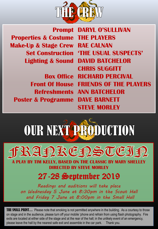

**Prompt Properties & Costume Make-Up & Stage Crew Set Construction Lighting & Sound**

**Front Of House Poster & Programme**

**DARYL O'SULLIVAN THE PLAYERS RAE CALNAN 'THE USUAL SUSPECTS' DAVID BATCHELOR CHRIS SUGGITT Box Office RICHARD PERCIVAL FRIENDS OF THE PLAYERS Refreshments ANN BATCHELOR DAVE BARNETT STEVE MORLEY**

## OUR NEXT PRODUCTION

FRAPKERSTEIP

**A PLAY BY TIM KELLY, BASED ON THE CLASSIC BY MARY SHELLEY DIRECTED BY STEVE MORLEY**

### 27-28 September 2019

*Readings and auditions will take place on Wednesday 5 June at 8:30pm in the Scout Hall and Friday 7 June at 8:00pm in the Small Hall*

**THE SMALL PRINT...** Please note that smoking is not permitted anywhere in the building. As a courtesy to those on stage and in the audience, please turn off your mobile 'phone and refrain from using flash photography. Fire exits are located at either side of the stage and at the rear of the hall; in the unlikely event of an emergency, please leave the hall by the nearest safe exit and assemble in the car park. Thank you.